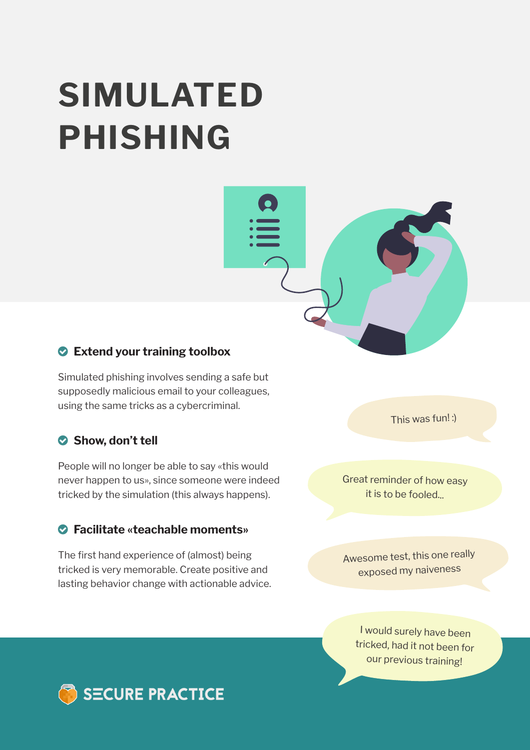# **SIMULATED PHISHING**



Simulated phishing involves sending a safe but supposedly malicious email to your colleagues, using the same tricks as a cybercriminal.

#### Show, don't tell

People will no longer be able to say «this would never happen to us», since someone were indeed tricked by the simulation (this always happens).

#### **Facilitate «teachable moments»**

The first hand experience of (almost) being tricked is very memorable. Create positive and lasting behavior change with actionable advice. This was fun! :)

Great reminder of how easy it is to be fooled.

Awesome test, this one really exposed my naiveness

I would surely have been tricked, had it not been for our previous training!